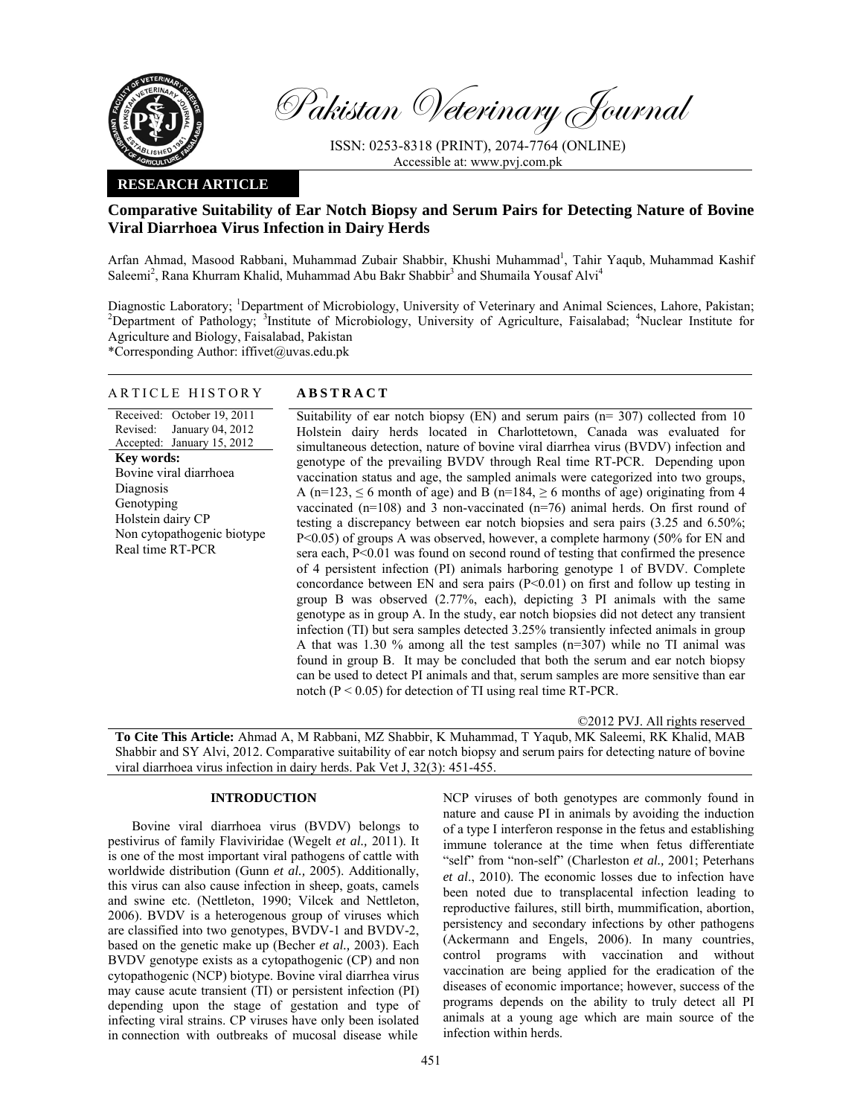

Pakistan Veterinary Journal

ISSN: 0253-8318 (PRINT), 2074-7764 (ONLINE) Accessible at: www.pvj.com.pk

## **RESEARCH ARTICLE**

# **Comparative Suitability of Ear Notch Biopsy and Serum Pairs for Detecting Nature of Bovine Viral Diarrhoea Virus Infection in Dairy Herds**

Arfan Ahmad, Masood Rabbani, Muhammad Zubair Shabbir, Khushi Muhammad<sup>1</sup>, Tahir Yaqub, Muhammad Kashif Saleemi<sup>2</sup>, Rana Khurram Khalid, Muhammad Abu Bakr Shabbir<sup>3</sup> and Shumaila Yousaf Alvi<sup>4</sup>

Diagnostic Laboratory; <sup>1</sup>Department of Microbiology, University of Veterinary and Animal Sciences, Lahore, Pakistan;<br><sup>2</sup>Department of Bethology: <sup>3</sup>Institute of Microbiology, University of Acrigulture, Esiselehed: <sup>4</sup>Nuel Department of Pathology; <sup>3</sup>Institute of Microbiology, University of Agriculture, Faisalabad; <sup>4</sup>Nuclear Institute for Agriculture and Biology, Faisalabad, Pakistan

\*Corresponding Author: iffivet@uvas.edu.pk

## ARTICLE HISTORY **ABSTRACT**

Received: October 19, 2011 Revised: Accepted: January 15, 2012 January 04, 2012 **Key words:**  Bovine viral diarrhoea Diagnosis Genotyping Holstein dairy CP Non cytopathogenic biotype Real time RT-PCR Suitability of ear notch biopsy (EN) and serum pairs ( $n=307$ ) collected from 10 Holstein dairy herds located in Charlottetown, Canada was evaluated for simultaneous detection, nature of bovine viral diarrhea virus (BVDV) infection and genotype of the prevailing BVDV through Real time RT-PCR. Depending upon vaccination status and age, the sampled animals were categorized into two groups, A (n=123,  $\leq$  6 month of age) and B (n=184,  $\geq$  6 months of age) originating from 4 vaccinated (n=108) and 3 non-vaccinated (n=76) animal herds. On first round of testing a discrepancy between ear notch biopsies and sera pairs (3.25 and 6.50%; P<0.05) of groups A was observed, however, a complete harmony (50% for EN and sera each,  $P<0.01$  was found on second round of testing that confirmed the presence of 4 persistent infection (PI) animals harboring genotype 1 of BVDV. Complete concordance between EN and sera pairs  $(P<0.01)$  on first and follow up testing in group B was observed (2.77%, each), depicting 3 PI animals with the same genotype as in group A. In the study, ear notch biopsies did not detect any transient infection (TI) but sera samples detected 3.25% transiently infected animals in group A that was 1.30 % among all the test samples (n=307) while no TI animal was found in group B. It may be concluded that both the serum and ear notch biopsy can be used to detect PI animals and that, serum samples are more sensitive than ear notch  $(P < 0.05)$  for detection of TI using real time RT-PCR.

©2012 PVJ. All rights reserved

**To Cite This Article:** Ahmad A, M Rabbani, MZ Shabbir, K Muhammad, T Yaqub, MK Saleemi, RK Khalid, MAB Shabbir and SY Alvi, 2012. Comparative suitability of ear notch biopsy and serum pairs for detecting nature of bovine viral diarrhoea virus infection in dairy herds. Pak Vet J, 32(3): 451-455.

## **INTRODUCTION**

Bovine viral diarrhoea virus (BVDV) belongs to pestivirus of family Flaviviridae (Wegelt *et al.,* 2011). It is one of the most important viral pathogens of cattle with worldwide distribution (Gunn *et al.,* 2005). Additionally, this virus can also cause infection in sheep, goats, camels and swine etc. (Nettleton, 1990; Vilcek and Nettleton, 2006). BVDV is a heterogenous group of viruses which are classified into two genotypes, BVDV-1 and BVDV-2, based on the genetic make up (Becher *et al.,* 2003). Each BVDV genotype exists as a cytopathogenic (CP) and non cytopathogenic (NCP) biotype. Bovine viral diarrhea virus may cause acute transient (TI) or persistent infection (PI) depending upon the stage of gestation and type of infecting viral strains. CP viruses have only been isolated in connection with outbreaks of mucosal disease while

NCP viruses of both genotypes are commonly found in nature and cause PI in animals by avoiding the induction of a type I interferon response in the fetus and establishing immune tolerance at the time when fetus differentiate "self" from "non-self" (Charleston *et al.,* 2001; Peterhans *et al*., 2010). The economic losses due to infection have been noted due to transplacental infection leading to reproductive failures, still birth, mummification, abortion, persistency and secondary infections by other pathogens (Ackermann and Engels, 2006). In many countries, control programs with vaccination and without vaccination are being applied for the eradication of the diseases of economic importance; however, success of the programs depends on the ability to truly detect all PI animals at a young age which are main source of the infection within herds.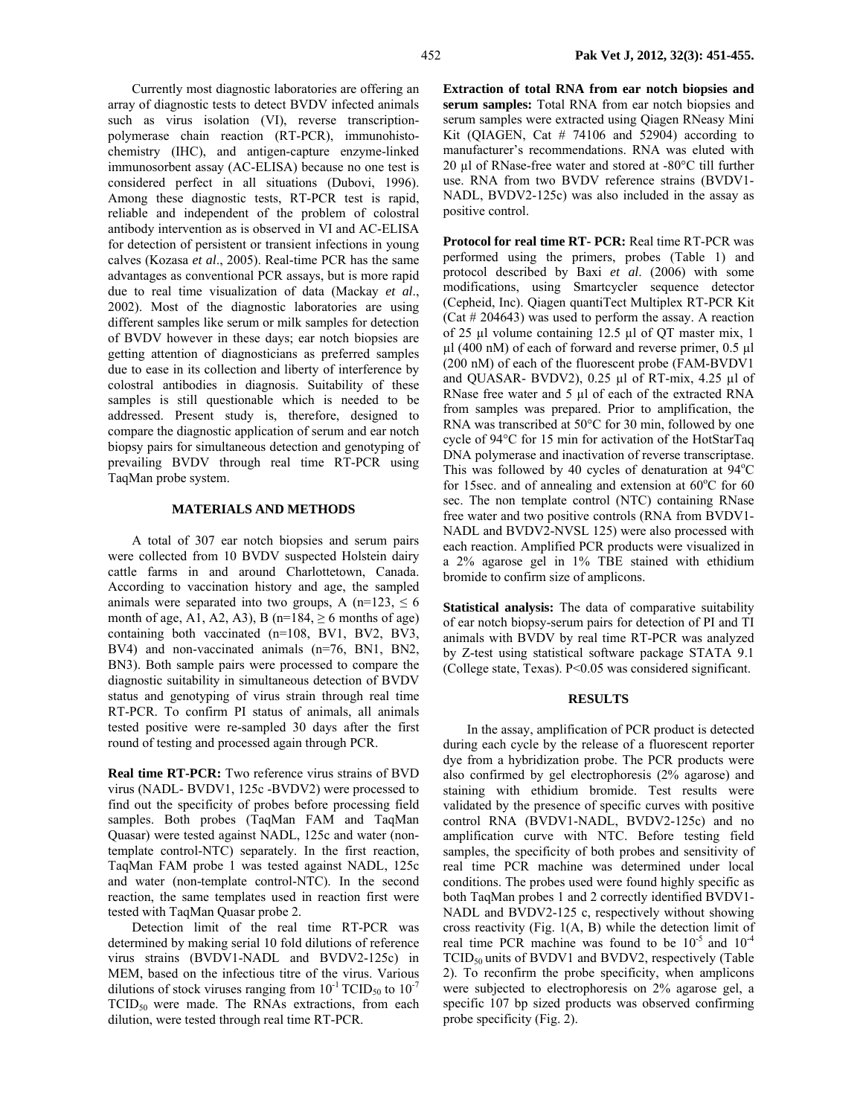Currently most diagnostic laboratories are offering an array of diagnostic tests to detect BVDV infected animals such as virus isolation (VI), reverse transcriptionpolymerase chain reaction (RT-PCR), immunohistochemistry (IHC), and antigen-capture enzyme-linked immunosorbent assay (AC-ELISA) because no one test is considered perfect in all situations (Dubovi, 1996). Among these diagnostic tests, RT-PCR test is rapid, reliable and independent of the problem of colostral antibody intervention as is observed in VI and AC-ELISA for detection of persistent or transient infections in young calves (Kozasa *et al*., 2005). Real-time PCR has the same advantages as conventional PCR assays, but is more rapid due to real time visualization of data (Mackay *et al*., 2002). Most of the diagnostic laboratories are using different samples like serum or milk samples for detection of BVDV however in these days; ear notch biopsies are getting attention of diagnosticians as preferred samples due to ease in its collection and liberty of interference by colostral antibodies in diagnosis. Suitability of these samples is still questionable which is needed to be addressed. Present study is, therefore, designed to compare the diagnostic application of serum and ear notch biopsy pairs for simultaneous detection and genotyping of prevailing BVDV through real time RT-PCR using TaqMan probe system.

## **MATERIALS AND METHODS**

A total of 307 ear notch biopsies and serum pairs were collected from 10 BVDV suspected Holstein dairy cattle farms in and around Charlottetown, Canada. According to vaccination history and age, the sampled animals were separated into two groups, A (n=123,  $\leq 6$ ) month of age, A1, A2, A3), B (n=184,  $\geq$  6 months of age) containing both vaccinated (n=108, BV1, BV2, BV3, BV4) and non-vaccinated animals (n=76, BN1, BN2, BN3). Both sample pairs were processed to compare the diagnostic suitability in simultaneous detection of BVDV status and genotyping of virus strain through real time RT-PCR. To confirm PI status of animals, all animals tested positive were re-sampled 30 days after the first round of testing and processed again through PCR.

**Real time RT-PCR:** Two reference virus strains of BVD virus (NADL- BVDV1, 125c -BVDV2) were processed to find out the specificity of probes before processing field samples. Both probes (TaqMan FAM and TaqMan Quasar) were tested against NADL, 125c and water (nontemplate control-NTC) separately. In the first reaction, TaqMan FAM probe 1 was tested against NADL, 125c and water (non-template control-NTC). In the second reaction, the same templates used in reaction first were tested with TaqMan Quasar probe 2.

Detection limit of the real time RT-PCR was determined by making serial 10 fold dilutions of reference virus strains (BVDV1-NADL and BVDV2-125c) in MEM, based on the infectious titre of the virus. Various dilutions of stock viruses ranging from  $10^{-1}$  TCID<sub>50</sub> to  $10^{-7}$  $TCID_{50}$  were made. The RNAs extractions, from each dilution, were tested through real time RT-PCR.

**Extraction of total RNA from ear notch biopsies and serum samples:** Total RNA from ear notch biopsies and serum samples were extracted using Qiagen RNeasy Mini Kit (QIAGEN, Cat  $#$  74106 and 52904) according to manufacturer's recommendations. RNA was eluted with 20 µl of RNase-free water and stored at -80°C till further use. RNA from two BVDV reference strains (BVDV1- NADL, BVDV2-125c) was also included in the assay as positive control.

**Protocol for real time RT- PCR:** Real time RT-PCR was performed using the primers, probes (Table 1) and protocol described by Baxi *et al*. (2006) with some modifications, using Smartcycler sequence detector (Cepheid, Inc). Qiagen quantiTect Multiplex RT-PCR Kit (Cat # 204643) was used to perform the assay. A reaction of 25 µl volume containing 12.5 µl of QT master mix, 1  $\mu$ l (400 nM) of each of forward and reverse primer, 0.5  $\mu$ l (200 nM) of each of the fluorescent probe (FAM-BVDV1 and QUASAR- BVDV2), 0.25 µl of RT-mix, 4.25 µl of RNase free water and 5 µl of each of the extracted RNA from samples was prepared. Prior to amplification, the RNA was transcribed at 50°C for 30 min, followed by one cycle of 94°C for 15 min for activation of the HotStarTaq DNA polymerase and inactivation of reverse transcriptase. This was followed by 40 cycles of denaturation at  $94^{\circ}$ C for 15sec. and of annealing and extension at  $60^{\circ}$ C for  $60$ sec. The non template control (NTC) containing RNase free water and two positive controls (RNA from BVDV1- NADL and BVDV2-NVSL 125) were also processed with each reaction. Amplified PCR products were visualized in a 2% agarose gel in 1% TBE stained with ethidium bromide to confirm size of amplicons.

**Statistical analysis:** The data of comparative suitability of ear notch biopsy-serum pairs for detection of PI and TI animals with BVDV by real time RT-PCR was analyzed by Z-test using statistical software package STATA 9.1 (College state, Texas). P<0.05 was considered significant.

### **RESULTS**

In the assay, amplification of PCR product is detected during each cycle by the release of a fluorescent reporter dye from a hybridization probe. The PCR products were also confirmed by gel electrophoresis (2% agarose) and staining with ethidium bromide. Test results were validated by the presence of specific curves with positive control RNA (BVDV1-NADL, BVDV2-125c) and no amplification curve with NTC. Before testing field samples, the specificity of both probes and sensitivity of real time PCR machine was determined under local conditions. The probes used were found highly specific as both TaqMan probes 1 and 2 correctly identified BVDV1- NADL and BVDV2-125 c, respectively without showing cross reactivity (Fig. 1(A, B) while the detection limit of real time PCR machine was found to be  $10^{-5}$  and  $10^{-4}$ TCID<sub>50</sub> units of BVDV1 and BVDV2, respectively (Table 2). To reconfirm the probe specificity, when amplicons were subjected to electrophoresis on 2% agarose gel, a specific 107 bp sized products was observed confirming probe specificity (Fig. 2).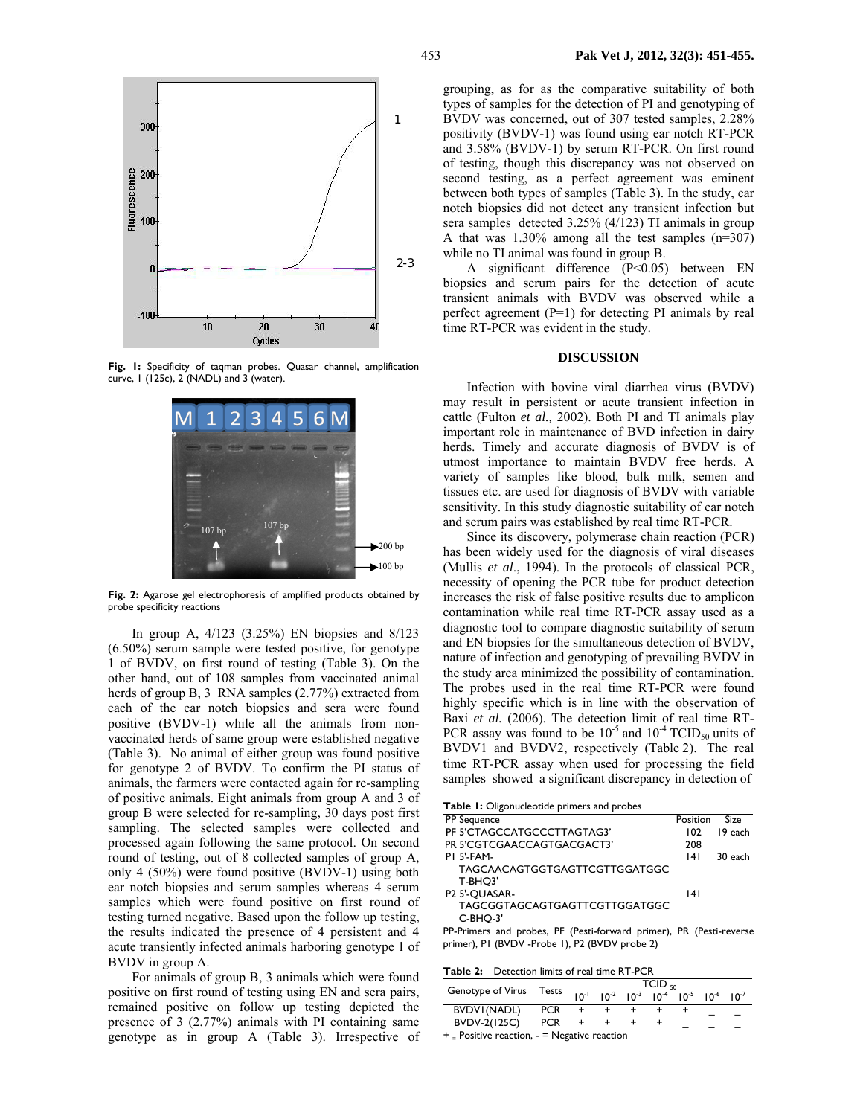

Fig. 1: Specificity of taqman probes. Quasar channel, amplification curve, 1 (125c), 2 (NADL) and 3 (water).



**Fig. 2:** Agarose gel electrophoresis of amplified products obtained by probe specificity reactions

In group A, 4/123 (3.25%) EN biopsies and 8/123 (6.50%) serum sample were tested positive, for genotype 1 of BVDV, on first round of testing (Table 3). On the other hand, out of 108 samples from vaccinated animal herds of group B, 3 RNA samples (2.77%) extracted from each of the ear notch biopsies and sera were found positive (BVDV-1) while all the animals from nonvaccinated herds of same group were established negative (Table 3). No animal of either group was found positive for genotype 2 of BVDV. To confirm the PI status of animals, the farmers were contacted again for re-sampling of positive animals. Eight animals from group A and 3 of group B were selected for re-sampling, 30 days post first sampling. The selected samples were collected and processed again following the same protocol. On second round of testing, out of 8 collected samples of group A, only 4 (50%) were found positive (BVDV-1) using both ear notch biopsies and serum samples whereas 4 serum samples which were found positive on first round of testing turned negative. Based upon the follow up testing, the results indicated the presence of 4 persistent and 4 acute transiently infected animals harboring genotype 1 of BVDV in group A.

For animals of group B, 3 animals which were found positive on first round of testing using EN and sera pairs, remained positive on follow up testing depicted the presence of 3 (2.77%) animals with PI containing same genotype as in group A (Table 3). Irrespective of grouping, as for as the comparative suitability of both types of samples for the detection of PI and genotyping of BVDV was concerned, out of 307 tested samples, 2.28% positivity (BVDV-1) was found using ear notch RT-PCR and 3.58% (BVDV-1) by serum RT-PCR. On first round of testing, though this discrepancy was not observed on second testing, as a perfect agreement was eminent between both types of samples (Table 3). In the study, ear notch biopsies did not detect any transient infection but sera samples detected 3.25% (4/123) TI animals in group A that was 1.30% among all the test samples (n=307) while no TI animal was found in group B.

A significant difference (P<0.05) between EN biopsies and serum pairs for the detection of acute transient animals with BVDV was observed while a perfect agreement (P=1) for detecting PI animals by real time RT-PCR was evident in the study.

#### **DISCUSSION**

Infection with bovine viral diarrhea virus (BVDV) may result in persistent or acute transient infection in cattle (Fulton *et al.,* 2002). Both PI and TI animals play important role in maintenance of BVD infection in dairy herds. Timely and accurate diagnosis of BVDV is of utmost importance to maintain BVDV free herds. A variety of samples like blood, bulk milk, semen and tissues etc. are used for diagnosis of BVDV with variable sensitivity. In this study diagnostic suitability of ear notch and serum pairs was established by real time RT-PCR.

Since its discovery, polymerase chain reaction (PCR) has been widely used for the diagnosis of viral diseases (Mullis *et al*., 1994). In the protocols of classical PCR, necessity of opening the PCR tube for product detection increases the risk of false positive results due to amplicon contamination while real time RT-PCR assay used as a diagnostic tool to compare diagnostic suitability of serum and EN biopsies for the simultaneous detection of BVDV, nature of infection and genotyping of prevailing BVDV in the study area minimized the possibility of contamination. The probes used in the real time RT-PCR were found highly specific which is in line with the observation of Baxi *et al.* (2006). The detection limit of real time RT-PCR assay was found to be  $10^{-5}$  and  $10^{-4}$  TCID<sub>50</sub> units of BVDV1 and BVDV2, respectively (Table 2). The real time RT-PCR assay when used for processing the field samples showed a significant discrepancy in detection of

**Table 1:** Oligonucleotide primers and probes

| PP Sequence                   | Position | Size    |
|-------------------------------|----------|---------|
| PF 5'CTAGCCATGCCCTTAGTAG3'    | 102      | 19 each |
| PR 5'CGTCGAACCAGTGACGACT3'    | 208      |         |
| <b>PI 5'-FAM-</b>             | 4        | 30 each |
| TAGCAACAGTGGTGAGTTCGTTGGATGGC |          |         |
| T-BHO3'                       |          |         |
| P <sub>2</sub> 5'-OUASAR-     | 141      |         |
| TAGCGGTAGCAGTGAGTTCGTTGGATGGC |          |         |
| $C-BHO-3'$                    |          |         |

PP-Primers and probes, PF (Pesti-forward primer), PR (Pesti-reverse primer), P1 (BVDV -Probe 1), P2 (BVDV probe 2)

**Table 2:** Detection limits of real time RT-PCR

| Genotype of Virus Tests                          |            | $TCID_{50}$<br>$10^{-2}$ $10^{-3}$ $10^{-4}$ $10^{-5}$ $10^{-6}$ $10^{-7}$ |  |  |  |  |  |  |
|--------------------------------------------------|------------|----------------------------------------------------------------------------|--|--|--|--|--|--|
|                                                  |            | $\sqrt{10^{-1}}$                                                           |  |  |  |  |  |  |
| BVDVI(NADL)                                      | <b>PCR</b> |                                                                            |  |  |  |  |  |  |
| BVDV-2(125C)                                     | <b>PCR</b> |                                                                            |  |  |  |  |  |  |
| $+$ = Positive reaction, $-$ = Negative reaction |            |                                                                            |  |  |  |  |  |  |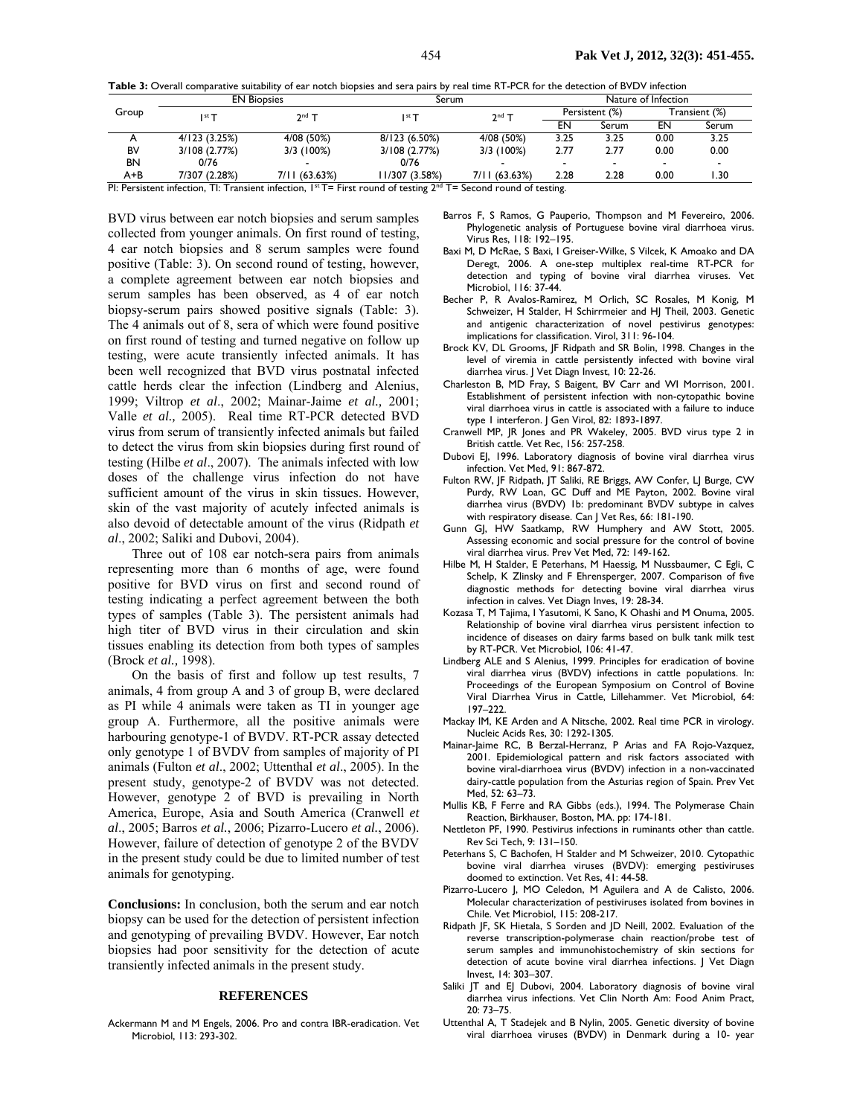**Table 3:** Overall comparative suitability of ear notch biopsies and sera pairs by real time RT-PCR for the detection of BVDV infection

| Group                                                                                                                                                                                                                                                                                                                                      | <b>EN Biopsies</b> |               | Serum          | Nature of Infection |                |       |                          |       |
|--------------------------------------------------------------------------------------------------------------------------------------------------------------------------------------------------------------------------------------------------------------------------------------------------------------------------------------------|--------------------|---------------|----------------|---------------------|----------------|-------|--------------------------|-------|
|                                                                                                                                                                                                                                                                                                                                            | $2nd$ T<br>∣st ⊤   |               | ∣st ⊤          | $2nd$ T             | Persistent (%) |       | (%) Transient            |       |
|                                                                                                                                                                                                                                                                                                                                            |                    |               |                |                     | EN             | Serum | EN                       | Serum |
|                                                                                                                                                                                                                                                                                                                                            | 4/123(3.25%)       | 4/08 (50%)    | 8/123 (6.50%)  | 4/08 (50%)          | 3.25           | 3.25  | 0.00                     | 3.25  |
| BV                                                                                                                                                                                                                                                                                                                                         | 3/108 (2.77%)      | 3/3 (100%)    | 3/108 (2.77%)  | 3/3 (100%)          | 2.77           | 2.77  | 0.00                     | 0.00  |
| BN                                                                                                                                                                                                                                                                                                                                         | 0/76               |               | 0/76           |                     |                |       | $\overline{\phantom{0}}$ |       |
| A+B                                                                                                                                                                                                                                                                                                                                        | 7/307 (2.28%)      | 7/11 (63.63%) | 11/307 (3.58%) | 7/11 (63.63%)       | 2.28           | 2.28  | 0.00                     | l.30  |
| $\overline{D}$ to $\overline{D}$ and $\overline{D}$ and $\overline{D}$ to $\overline{D}$ and $\overline{D}$ and $\overline{D}$ is $\overline{D}$ . The $\overline{D}$ and $\overline{D}$ and $\overline{D}$ $\overline{D}$ and $\overline{D}$ and $\overline{D}$ and $\overline{D}$ and $\overline{D}$ and $\overline{D}$ and $\overline{$ |                    |               |                |                     |                |       |                          |       |

PI: Persistent infection, TI: Transient infection,  $1^{st}T =$  First round of testing  $2^{nd}T =$  Second round of testing.

BVD virus between ear notch biopsies and serum samples collected from younger animals. On first round of testing, 4 ear notch biopsies and 8 serum samples were found positive (Table: 3). On second round of testing, however, a complete agreement between ear notch biopsies and serum samples has been observed, as 4 of ear notch biopsy-serum pairs showed positive signals (Table: 3). The 4 animals out of 8, sera of which were found positive on first round of testing and turned negative on follow up testing, were acute transiently infected animals. It has been well recognized that BVD virus postnatal infected cattle herds clear the infection (Lindberg and Alenius, 1999; Viltrop *et al*., 2002; Mainar-Jaime *et al.,* 2001; Valle *et al.,* 2005). Real time RT-PCR detected BVD virus from serum of transiently infected animals but failed to detect the virus from skin biopsies during first round of testing (Hilbe *et al*., 2007). The animals infected with low doses of the challenge virus infection do not have sufficient amount of the virus in skin tissues. However, skin of the vast majority of acutely infected animals is also devoid of detectable amount of the virus (Ridpath *et al*., 2002; Saliki and Dubovi, 2004).

Three out of 108 ear notch-sera pairs from animals representing more than 6 months of age, were found positive for BVD virus on first and second round of testing indicating a perfect agreement between the both types of samples (Table 3). The persistent animals had high titer of BVD virus in their circulation and skin tissues enabling its detection from both types of samples (Brock *et al.,* 1998).

On the basis of first and follow up test results, 7 animals, 4 from group A and 3 of group B, were declared as PI while 4 animals were taken as TI in younger age group A. Furthermore, all the positive animals were harbouring genotype-1 of BVDV. RT-PCR assay detected only genotype 1 of BVDV from samples of majority of PI animals (Fulton *et al*., 2002; Uttenthal *et al*., 2005). In the present study, genotype-2 of BVDV was not detected. However, genotype 2 of BVD is prevailing in North America, Europe, Asia and South America (Cranwell *et al*., 2005; Barros *et al.*, 2006; Pizarro-Lucero *et al.*, 2006). However, failure of detection of genotype 2 of the BVDV in the present study could be due to limited number of test animals for genotyping.

**Conclusions:** In conclusion, both the serum and ear notch biopsy can be used for the detection of persistent infection and genotyping of prevailing BVDV. However, Ear notch biopsies had poor sensitivity for the detection of acute transiently infected animals in the present study.

#### **REFERENCES**

Ackermann M and M Engels, 2006. Pro and contra IBR-eradication. Vet Microbiol, 113: 293-302.

- Barros F, S Ramos, G Pauperio, Thompson and M Fevereiro, 2006. Phylogenetic analysis of Portuguese bovine viral diarrhoea virus. Virus Res, 118: 192–195.
- Baxi M, D McRae, S Baxi, I Greiser-Wilke, S Vilcek, K Amoako and DA Deregt, 2006. A one-step multiplex real-time RT-PCR for detection and typing of bovine viral diarrhea viruses. Vet Microbiol, 116: 37-44.
- Becher P, R Avalos-Ramirez, M Orlich, SC Rosales, M Konig, M Schweizer, H Stalder, H Schirrmeier and HJ Theil, 2003. Genetic and antigenic characterization of novel pestivirus genotypes: implications for classification. Virol, 311: 96-104.
- Brock KV, DL Grooms, JF Ridpath and SR Bolin, 1998. Changes in the level of viremia in cattle persistently infected with bovine viral diarrhea virus. J Vet Diagn Invest, 10: 22-26.
- Charleston B, MD Fray, S Baigent, BV Carr and WI Morrison, 2001. Establishment of persistent infection with non-cytopathic bovine viral diarrhoea virus in cattle is associated with a failure to induce type 1 interferon. J Gen Virol, 82: 1893-1897.
- Cranwell MP, JR Jones and PR Wakeley, 2005. BVD virus type 2 in British cattle. Vet Rec, 156: 257-258.
- Dubovi EJ, 1996. Laboratory diagnosis of bovine viral diarrhea virus infection. Vet Med, 91: 867-872.
- Fulton RW, JF Ridpath, JT Saliki, RE Briggs, AW Confer, LJ Burge, CW Purdy, RW Loan, GC Duff and ME Payton, 2002. Bovine viral diarrhea virus (BVDV) 1b: predominant BVDV subtype in calves with respiratory disease. Can J Vet Res, 66: 181-190.
- Gunn GJ, HW Saatkamp, RW Humphery and AW Stott, 2005. Assessing economic and social pressure for the control of bovine viral diarrhea virus. Prev Vet Med, 72: 149-162.
- Hilbe M, H Stalder, E Peterhans, M Haessig, M Nussbaumer, C Egli, C Schelp, K Zlinsky and F Ehrensperger, 2007. Comparison of five diagnostic methods for detecting bovine viral diarrhea virus infection in calves. Vet Diagn Inves, 19: 28-34.
- Kozasa T, M Tajima, I Yasutomi, K Sano, K Ohashi and M Onuma, 2005. Relationship of bovine viral diarrhea virus persistent infection to incidence of diseases on dairy farms based on bulk tank milk test by RT-PCR. Vet Microbiol, 106: 41-47.
- Lindberg ALE and S Alenius, 1999. Principles for eradication of bovine viral diarrhea virus (BVDV) infections in cattle populations. In: Proceedings of the European Symposium on Control of Bovine Viral Diarrhea Virus in Cattle, Lillehammer. Vet Microbiol, 64: 197–222.
- Mackay IM, KE Arden and A Nitsche, 2002. Real time PCR in virology. Nucleic Acids Res, 30: 1292-1305.
- Mainar-Jaime RC, B Berzal-Herranz, P Arias and FA Rojo-Vazquez, 2001. Epidemiological pattern and risk factors associated with bovine viral-diarrhoea virus (BVDV) infection in a non-vaccinated dairy-cattle population from the Asturias region of Spain. Prev Vet Med, 52: 63–73.
- Mullis KB, F Ferre and RA Gibbs (eds.), 1994. The Polymerase Chain Reaction, Birkhauser, Boston, MA. pp: 174-181.
- Nettleton PF, 1990. Pestivirus infections in ruminants other than cattle. Rev Sci Tech, 9: 131–150.
- Peterhans S, C Bachofen, H Stalder and M Schweizer, 2010. Cytopathic bovine viral diarrhea viruses (BVDV): emerging pestiviruses doomed to extinction. Vet Res, 41: 44-58.
- Pizarro-Lucero J, MO Celedon, M Aguilera and A de Calisto, 2006. Molecular characterization of pestiviruses isolated from bovines in Chile. Vet Microbiol, 115: 208-217.
- Ridpath JF, SK Hietala, S Sorden and JD Neill, 2002. Evaluation of the reverse transcription-polymerase chain reaction/probe test of serum samples and immunohistochemistry of skin sections for detection of acute bovine viral diarrhea infections. J Vet Diagn Invest, 14: 303–307.
- Saliki JT and EJ Dubovi, 2004. Laboratory diagnosis of bovine viral diarrhea virus infections. Vet Clin North Am: Food Anim Pract, 20: 73–75.
- Uttenthal A, T Stadejek and B Nylin, 2005. Genetic diversity of bovine viral diarrhoea viruses (BVDV) in Denmark during a 10- year